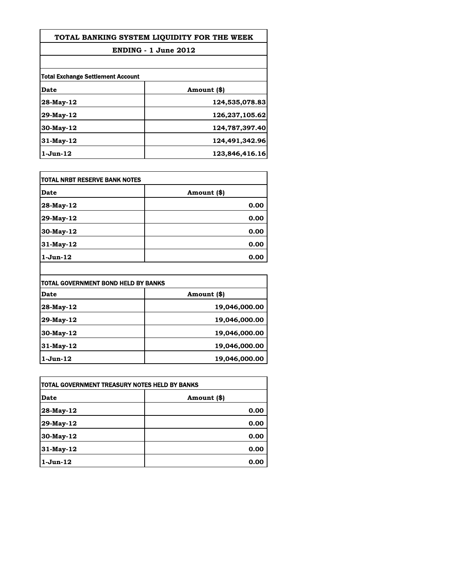## **TOTAL BANKING SYSTEM LIQUIDITY FOR THE WEEK**

## **ENDING - 1 June 2012**

| Total Exchange Settlement Account |                |
|-----------------------------------|----------------|
| Date                              | Amount (\$)    |
| 28-May-12                         | 124,535,078.83 |
| 29-May-12                         | 126,237,105.62 |
| $30$ -May-12                      | 124,787,397.40 |
| $31$ -May-12                      | 124,491,342.96 |
| $1$ -Jun- $12$                    | 123,846,416.16 |

| TOTAL NRBT RESERVE BANK NOTES |             |
|-------------------------------|-------------|
| Date                          | Amount (\$) |
| $ 28-May-12 $                 | 0.00        |
| 29-May-12                     | 0.00        |
| 30-May-12                     | 0.00        |
| 31-May-12                     | 0.00        |
| 1-Jun-12                      | 0.00        |

| TOTAL GOVERNMENT BOND HELD BY BANKS |               |  |
|-------------------------------------|---------------|--|
| Date                                | Amount (\$)   |  |
| 28-May-12                           | 19,046,000.00 |  |
| 29-May-12                           | 19,046,000.00 |  |
| 30-May-12                           | 19,046,000.00 |  |
| $31$ -May-12                        | 19,046,000.00 |  |
| $1$ -Jun- $12$                      | 19,046,000.00 |  |

| TOTAL GOVERNMENT TREASURY NOTES HELD BY BANKS |             |
|-----------------------------------------------|-------------|
| Date                                          | Amount (\$) |
| 28-May-12                                     | 0.00        |
| 29-May-12                                     | 0.00        |
| 30-May-12                                     | 0.00        |
| 31-May-12                                     | 0.00        |
| $1$ -Jun- $12$                                | 0.00        |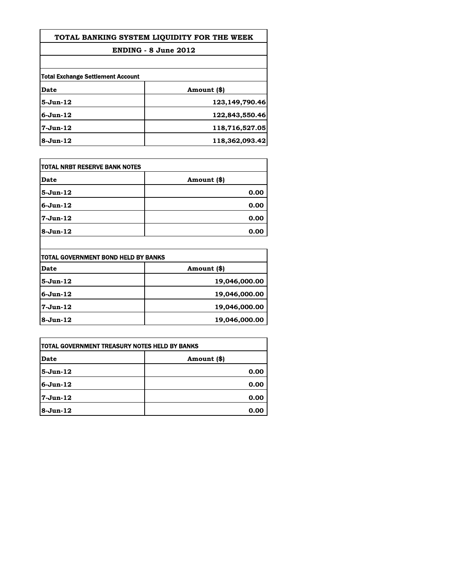## **TOTAL BANKING SYSTEM LIQUIDITY FOR THE WEEK**

#### **ENDING - 8 June 2012**

| <b>Total Exchange Settlement Account</b> |                |  |
|------------------------------------------|----------------|--|
| Date                                     | Amount (\$)    |  |
| $5 - Jun-12$                             | 123,149,790.46 |  |
| $6 - Jun-12$                             | 122,843,550.46 |  |
| $7-Jun-12$                               | 118,716,527.05 |  |
| $8-Jun-12$                               | 118,362,093.42 |  |

| <b>TOTAL NRBT RESERVE BANK NOTES</b> |             |
|--------------------------------------|-------------|
| <b>Date</b>                          | Amount (\$) |
| $5-Jun-12$                           | 0.00        |
| $6 - Jun-12$                         | 0.00        |
| 7-Jun-12                             | 0.00        |
| 8-Jun-12                             | 0.00        |

| TOTAL GOVERNMENT BOND HELD BY BANKS |               |  |
|-------------------------------------|---------------|--|
| Date                                | Amount (\$)   |  |
| $5 - Jun-12$                        | 19,046,000.00 |  |
| $6 - Jun-12$                        | 19,046,000.00 |  |
| 7-Jun-12                            | 19,046,000.00 |  |
| $8-Jun-12$                          | 19,046,000.00 |  |

| <b>TOTAL GOVERNMENT TREASURY NOTES HELD BY BANKS</b> |             |
|------------------------------------------------------|-------------|
| Date                                                 | Amount (\$) |
| 5-Jun-12                                             | 0.00        |
| $6 - Jun - 12$                                       | 0.00        |
| 7-Jun-12                                             | 0.00        |
| $8-Jun-12$                                           | 0.00        |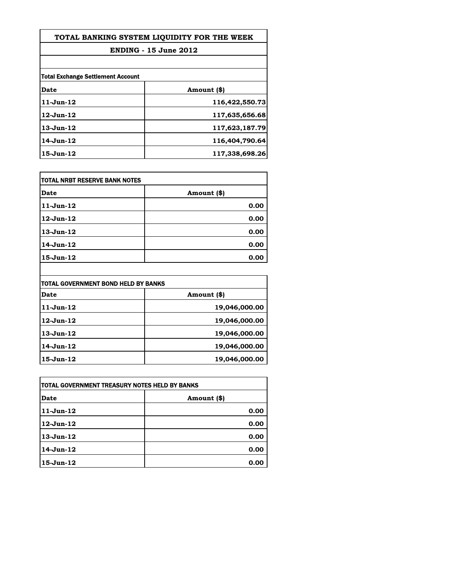| TOTAL BANKING SYSTEM LIQUIDITY FOR THE WEEK |  |  |  |
|---------------------------------------------|--|--|--|
|                                             |  |  |  |

# **ENDING - 15 June 2012**

| <b>Total Exchange Settlement Account</b><br>Date | Amount (\$)    |  |
|--------------------------------------------------|----------------|--|
| $11-Jun-12$                                      |                |  |
|                                                  | 116,422,550.73 |  |
| $12$ -Jun- $12$                                  | 117,635,656.68 |  |
| $13$ -Jun- $12$                                  | 117,623,187.79 |  |
| 14-Jun-12                                        | 116,404,790.64 |  |
| $15$ -Jun- $12$                                  | 117,338,698.26 |  |

| itotal NRBT RESERVE BANK NOTES |             |
|--------------------------------|-------------|
| Date                           | Amount (\$) |
| $11-Jun-12$                    | 0.00        |
| 12-Jun-12                      | 0.00        |
| $13$ -Jun- $12$                | 0.00        |
| 14-Jun-12                      | 0.00        |
| $15$ -Jun- $12$                | 0.00        |

| TOTAL GOVERNMENT BOND HELD BY BANKS |               |  |
|-------------------------------------|---------------|--|
| Date                                | Amount (\$)   |  |
| 11-Jun-12                           | 19,046,000.00 |  |
| 12-Jun-12                           | 19,046,000.00 |  |
| 13-Jun-12                           | 19,046,000.00 |  |
| 14-Jun-12                           | 19,046,000.00 |  |
| 15-Jun-12                           | 19,046,000.00 |  |

| TOTAL GOVERNMENT TREASURY NOTES HELD BY BANKS |             |  |
|-----------------------------------------------|-------------|--|
| Date                                          | Amount (\$) |  |
| $11-Jun-12$                                   | 0.00        |  |
| $12$ -Jun- $12$                               | 0.00        |  |
| $13$ -Jun $-12$                               | 0.00        |  |
| 14-Jun-12                                     | 0.00        |  |
| $15$ -Jun $-12$                               | 0.00        |  |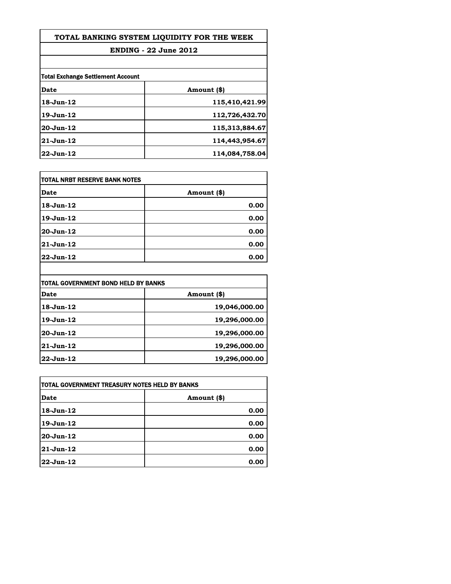| TOTAL BANKING SYSTEM LIQUIDITY FOR THE WEEK |  |  |  |
|---------------------------------------------|--|--|--|
|                                             |  |  |  |

## **ENDING - 22 June 2012**

| <b>Total Exchange Settlement Account</b> |                |  |
|------------------------------------------|----------------|--|
| Date                                     | Amount (\$)    |  |
| $18$ -Jun- $12$                          | 115,410,421.99 |  |
| $19$ -Jun- $12$                          | 112,726,432.70 |  |
| $20 - Jun-12$                            | 115,313,884.67 |  |
| 21-Jun-12                                | 114,443,954.67 |  |
| 22-Jun-12                                | 114,084,758.04 |  |

| TOTAL NRBT RESERVE BANK NOTES |             |  |
|-------------------------------|-------------|--|
| Date                          | Amount (\$) |  |
| 18-Jun-12                     | 0.00        |  |
| 19-Jun-12                     | 0.00        |  |
| 20-Jun-12                     | 0.00        |  |
| 21-Jun-12                     | 0.00        |  |
| 22-Jun-12                     | 0.00        |  |

| TOTAL GOVERNMENT BOND HELD BY BANKS |               |  |
|-------------------------------------|---------------|--|
| Date                                | Amount (\$)   |  |
| $18$ -Jun $-12$                     | 19,046,000.00 |  |
| 19-Jun-12                           | 19,296,000.00 |  |
| 20-Jun-12                           | 19,296,000.00 |  |
| 21-Jun-12                           | 19,296,000.00 |  |
| 22-Jun-12                           | 19,296,000.00 |  |

| ITOTAL GOVERNMENT TREASURY NOTES HELD BY BANKS |             |  |
|------------------------------------------------|-------------|--|
| Date                                           | Amount (\$) |  |
| $18$ -Jun- $12$                                | 0.00        |  |
| $19-Jun-12$                                    | 0.00        |  |
| 20-Jun-12                                      | 0.00        |  |
| 21-Jun-12                                      | 0.00        |  |
| 22-Jun-12                                      | 0.00        |  |